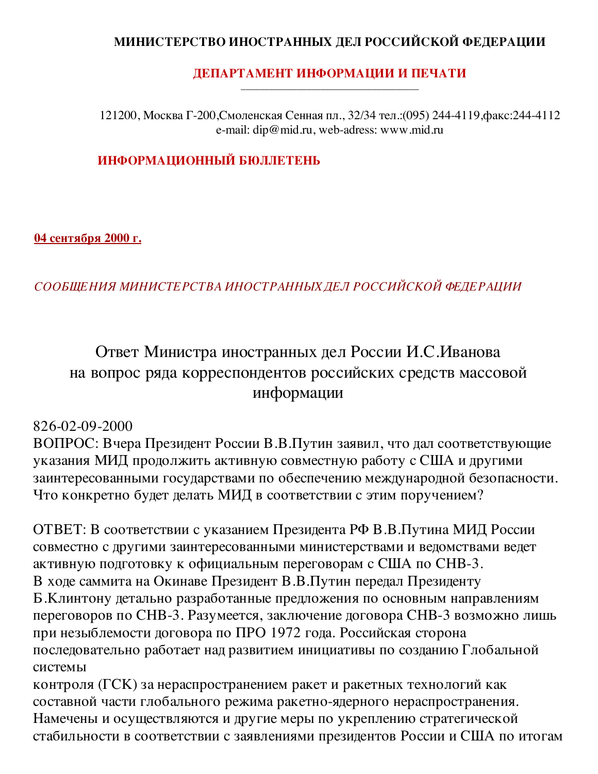## МИНИСТЕРСТВО ИНОСТРАННЫХ ДЕЛ РОССИЙСКОЙ ФЕДЕРАЦИИ

#### ДЕПАРТАМЕНТ ИНФОРМАЦИИ И ПЕЧАТИ

121200, Москва Г-200, Смоленская Сенная пл., 32/34 тел.: (095) 244-4119, факс: 244-4112 e-mail: dip@mid.ru, web-adress: www.mid.ru

## ИНФОРМАЦИОННЫЙ БЮЛЛЕТЕНЬ

<u>04 сентября 2000 г.</u>

## СООБЩЕНИЯ МИНИСТЕРСТВА ИНОСТРАННЫХ ДЕЛ РОССИЙСКОЙ ФЕДЕРАЦИИ

# Ответ Министра иностранных дел России И.С.Иванова на вопрос ряда корреспондентов российских средств массовой информации

## 826-02-09-2000

ВОПРОС: Вчера Президент России В.В.Путин заявил, что дал соответствующие указания МИД продолжить активную совместную работу с США и другими заинтересованными государствами по обеспечению международной безопасности. Что конкретно будет делать МИД в соответствии с этим поручением?

ОТВЕТ: В соответствии с указанием Президента РФ В.В.Путина МИД России совместно с другими заинтересованными министерствами и ведомствами ведет активную подготовку к официальным переговорам с США по СНВ-3. В ходе саммита на Окинаве Президент В.В.Путин передал Президенту Б. Клинтону детально разработанные предложения по основным направлениям переговоров по СНВ-3. Разумеется, заключение договора СНВ-3 возможно лишь при незыблемости договора по ПРО 1972 года. Российская сторона последовательно работает над развитием инициативы по созданию Глобальной системы

контроля (ГСК) за нераспространением ракет и ракетных технологий как составной части глобального режима ракетно-ядерного нераспространения. Намечены и осуществляются и другие меры по укреплению стратегической стабильности в соответствии с заявлениями президентов России и США по итогам